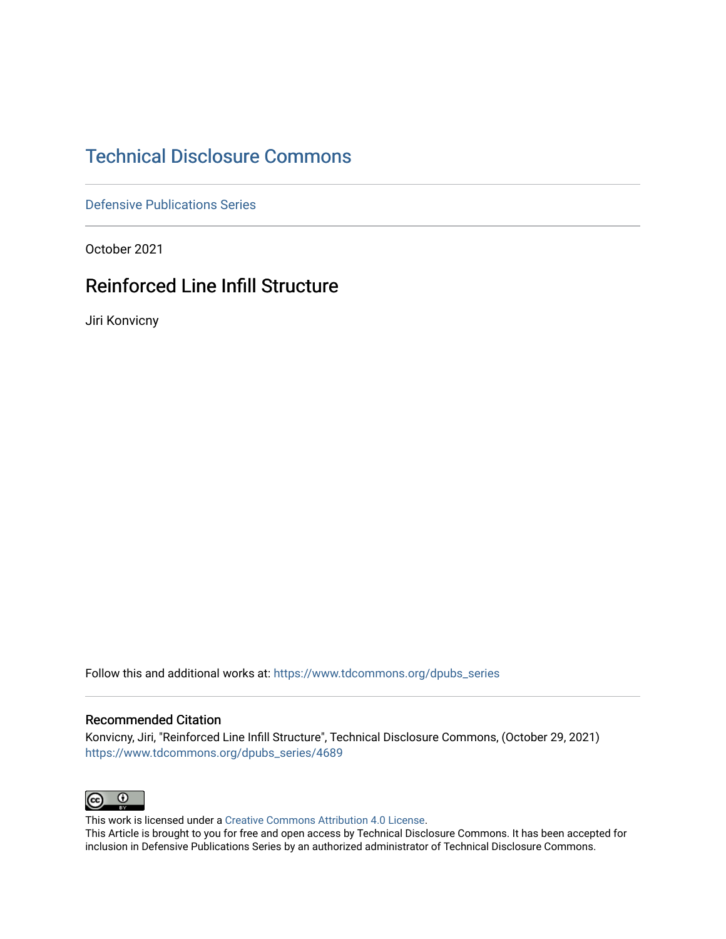# [Technical Disclosure Commons](https://www.tdcommons.org/)

[Defensive Publications Series](https://www.tdcommons.org/dpubs_series)

October 2021

## Reinforced Line Infill Structure

Jiri Konvicny

Follow this and additional works at: [https://www.tdcommons.org/dpubs\\_series](https://www.tdcommons.org/dpubs_series?utm_source=www.tdcommons.org%2Fdpubs_series%2F4689&utm_medium=PDF&utm_campaign=PDFCoverPages) 

### Recommended Citation

Konvicny, Jiri, "Reinforced Line Infill Structure", Technical Disclosure Commons, (October 29, 2021) [https://www.tdcommons.org/dpubs\\_series/4689](https://www.tdcommons.org/dpubs_series/4689?utm_source=www.tdcommons.org%2Fdpubs_series%2F4689&utm_medium=PDF&utm_campaign=PDFCoverPages)



This work is licensed under a [Creative Commons Attribution 4.0 License](http://creativecommons.org/licenses/by/4.0/deed.en_US).

This Article is brought to you for free and open access by Technical Disclosure Commons. It has been accepted for inclusion in Defensive Publications Series by an authorized administrator of Technical Disclosure Commons.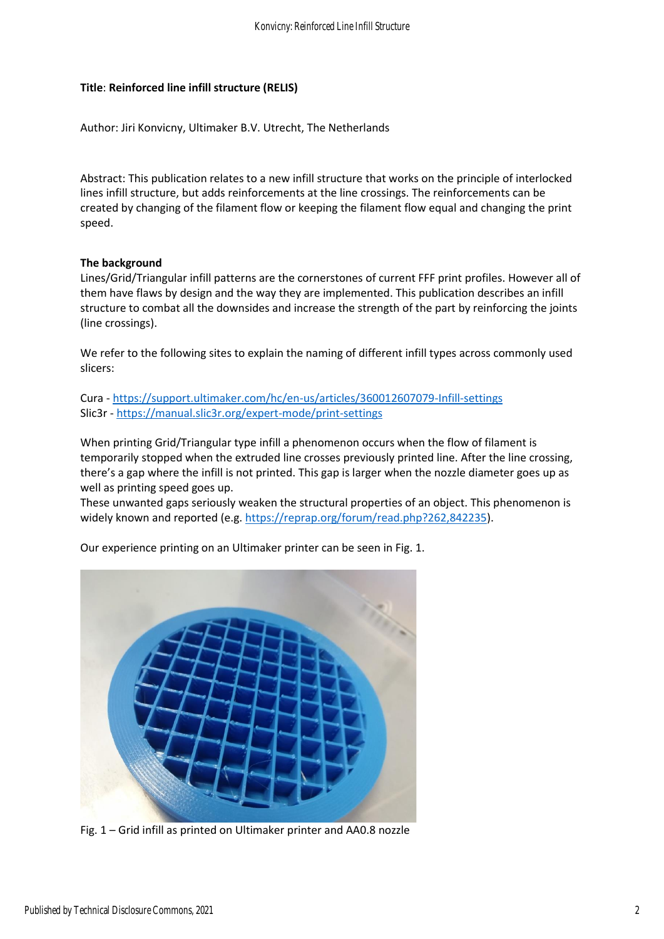## **Title**: **Reinforced line infill structure (RELIS)**

Author: Jiri Konvicny, Ultimaker B.V. Utrecht, The Netherlands

Abstract: This publication relates to a new infill structure that works on the principle of interlocked lines infill structure, but adds reinforcements at the line crossings. The reinforcements can be created by changing of the filament flow or keeping the filament flow equal and changing the print speed.

## **The background**

Lines/Grid/Triangular infill patterns are the cornerstones of current FFF print profiles. However all of them have flaws by design and the way they are implemented. This publication describes an infill structure to combat all the downsides and increase the strength of the part by reinforcing the joints (line crossings).

We refer to the following sites to explain the naming of different infill types across commonly used slicers:

Cura - <https://support.ultimaker.com/hc/en-us/articles/360012607079-Infill-settings> Slic3r - <https://manual.slic3r.org/expert-mode/print-settings>

When printing Grid/Triangular type infill a phenomenon occurs when the flow of filament is temporarily stopped when the extruded line crosses previously printed line. After the line crossing, there's a gap where the infill is not printed. This gap is larger when the nozzle diameter goes up as well as printing speed goes up.

These unwanted gaps seriously weaken the structural properties of an object. This phenomenon is widely known and reported (e.g. [https://reprap.org/forum/read.php?262,842235\)](https://reprap.org/forum/read.php?262,842235).

Our experience printing on an Ultimaker printer can be seen in Fig. 1.



Fig. 1 – Grid infill as printed on Ultimaker printer and AA0.8 nozzle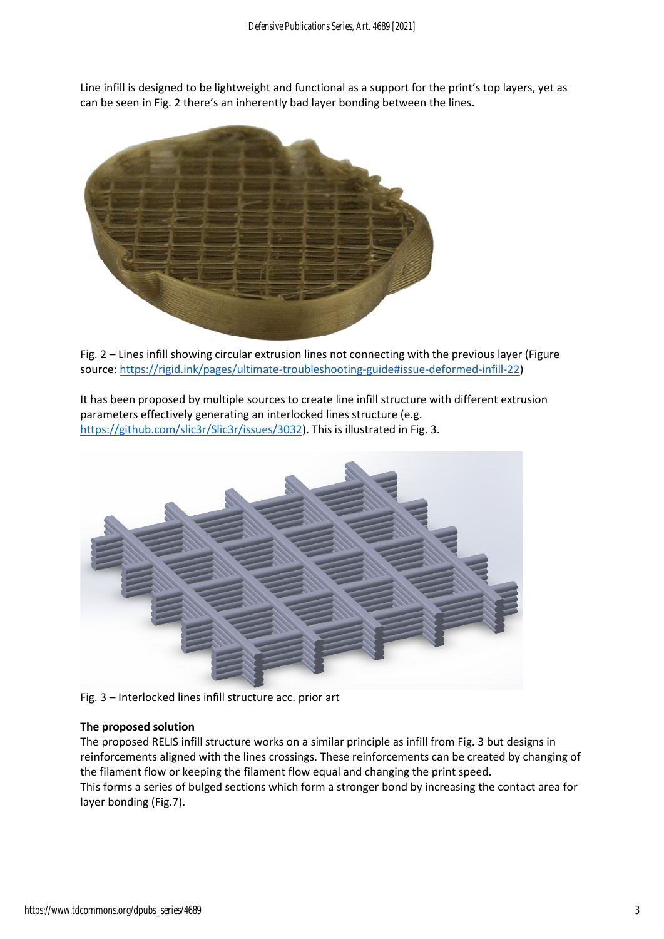Line infill is designed to be lightweight and functional as a support for the print's top layers, yet as can be seen in Fig. 2 there's an inherently bad layer bonding between the lines.



Fig. 2 – Lines infill showing circular extrusion lines not connecting with the previous layer (Figure source: [https://rigid.ink/pages/ultimate-troubleshooting-guide#issue-deformed-infill-22\)](https://rigid.ink/pages/ultimate-troubleshooting-guide#issue-deformed-infill-22)

It has been proposed by multiple sources to create line infill structure with different extrusion parameters effectively generating an interlocked lines structure (e.g. [https://github.com/slic3r/Slic3r/issues/3032\)](https://github.com/slic3r/Slic3r/issues/3032). This is illustrated in Fig. 3.



Fig. 3 – Interlocked lines infill structure acc. prior art

#### **The proposed solution**

The proposed RELIS infill structure works on a similar principle as infill from Fig. 3 but designs in reinforcements aligned with the lines crossings. These reinforcements can be created by changing of the filament flow or keeping the filament flow equal and changing the print speed. This forms a series of bulged sections which form a stronger bond by increasing the contact area for layer bonding (Fig.7).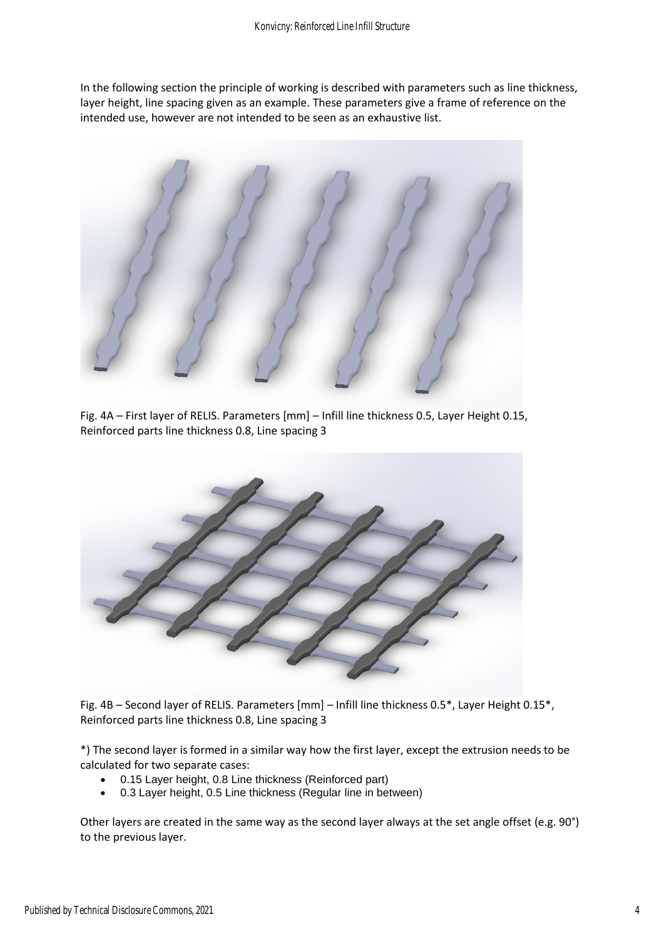In the following section the principle of working is described with parameters such as line thickness, layer height, line spacing given as an example. These parameters give a frame of reference on the intended use, however are not intended to be seen as an exhaustive list.



Fig. 4A – First layer of RELIS. Parameters [mm] – Infill line thickness 0.5, Layer Height 0.15, Reinforced parts line thickness 0.8, Line spacing 3



Fig. 4B – Second layer of RELIS. Parameters [mm] – Infill line thickness 0.5\*, Layer Height 0.15\*, Reinforced parts line thickness 0.8, Line spacing 3

\*) The second layer is formed in a similar way how the first layer, except the extrusion needs to be calculated for two separate cases:

- 0.15 Layer height, 0.8 Line thickness (Reinforced part)
- 0.3 Layer height, 0.5 Line thickness (Regular line in between)

Other layers are created in the same way as the second layer always at the set angle offset (e.g. 90°) to the previous layer.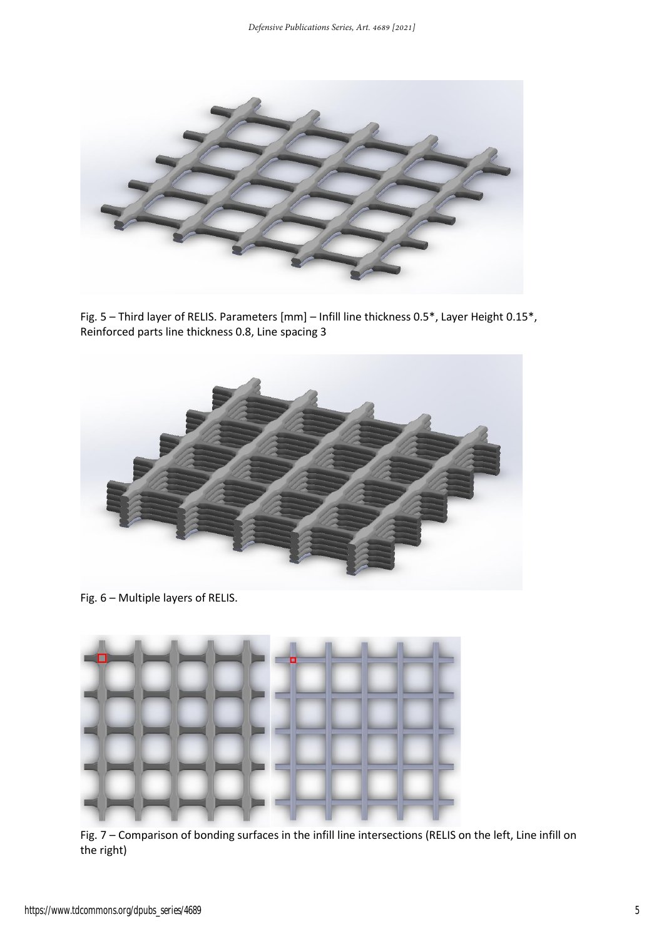

Fig. 5 – Third layer of RELIS. Parameters [mm] – Infill line thickness 0.5\*, Layer Height 0.15\*, Reinforced parts line thickness 0.8, Line spacing 3



Fig. 6 – Multiple layers of RELIS.



Fig. 7 – Comparison of bonding surfaces in the infill line intersections (RELIS on the left, Line infill on the right)